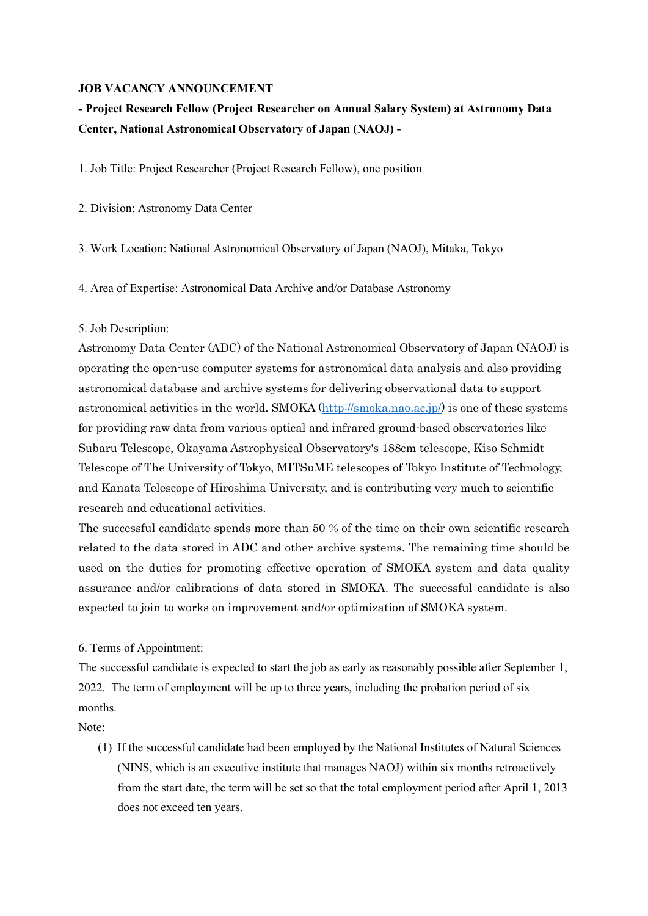#### JOB VACANCY ANNOUNCEMENT

# - Project Research Fellow (Project Researcher on Annual Salary System) at Astronomy Data Center, National Astronomical Observatory of Japan (NAOJ) -

1. Job Title: Project Researcher (Project Research Fellow), one position

2. Division: Astronomy Data Center

3. Work Location: National Astronomical Observatory of Japan (NAOJ), Mitaka, Tokyo

4. Area of Expertise: Astronomical Data Archive and/or Database Astronomy

#### 5. Job Description:

Astronomy Data Center (ADC) of the National Astronomical Observatory of Japan (NAOJ) is operating the open-use computer systems for astronomical data analysis and also providing astronomical database and archive systems for delivering observational data to support astronomical activities in the world. SMOKA (http://smoka.nao.ac.jp/) is one of these systems for providing raw data from various optical and infrared ground-based observatories like Subaru Telescope, Okayama Astrophysical Observatory's 188cm telescope, Kiso Schmidt Telescope of The University of Tokyo, MITSuME telescopes of Tokyo Institute of Technology, and Kanata Telescope of Hiroshima University, and is contributing very much to scientific research and educational activities.

The successful candidate spends more than 50 % of the time on their own scientific research related to the data stored in ADC and other archive systems. The remaining time should be used on the duties for promoting effective operation of SMOKA system and data quality assurance and/or calibrations of data stored in SMOKA. The successful candidate is also expected to join to works on improvement and/or optimization of SMOKA system.

## 6. Terms of Appointment:

The successful candidate is expected to start the job as early as reasonably possible after September 1, 2022. The term of employment will be up to three years, including the probation period of six months.

Note:

(1) If the successful candidate had been employed by the National Institutes of Natural Sciences (NINS, which is an executive institute that manages NAOJ) within six months retroactively from the start date, the term will be set so that the total employment period after April 1, 2013 does not exceed ten years.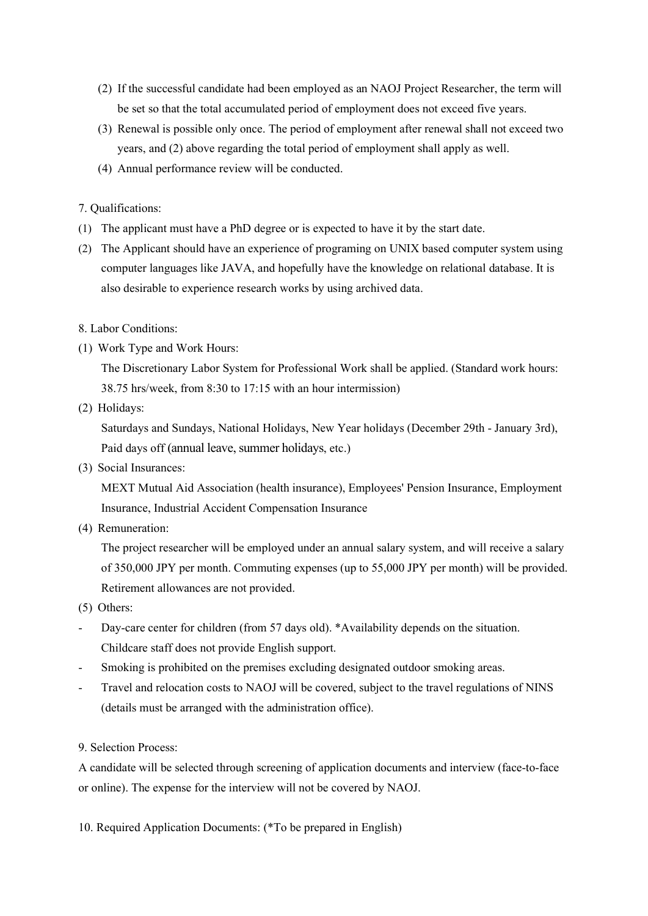- (2) If the successful candidate had been employed as an NAOJ Project Researcher, the term will be set so that the total accumulated period of employment does not exceed five years.
- (3) Renewal is possible only once. The period of employment after renewal shall not exceed two years, and (2) above regarding the total period of employment shall apply as well.
- (4) Annual performance review will be conducted.

7. Qualifications:

- (1) The applicant must have a PhD degree or is expected to have it by the start date.
- (2) The Applicant should have an experience of programing on UNIX based computer system using computer languages like JAVA, and hopefully have the knowledge on relational database. It is also desirable to experience research works by using archived data.
- 8. Labor Conditions:
- (1) Work Type and Work Hours:

The Discretionary Labor System for Professional Work shall be applied. (Standard work hours: 38.75 hrs/week, from 8:30 to 17:15 with an hour intermission)

(2) Holidays:

Saturdays and Sundays, National Holidays, New Year holidays (December 29th - January 3rd), Paid days off (annual leave, summer holidays, etc.)

(3) Social Insurances:

MEXT Mutual Aid Association (health insurance), Employees' Pension Insurance, Employment Insurance, Industrial Accident Compensation Insurance

(4) Remuneration:

The project researcher will be employed under an annual salary system, and will receive a salary of 350,000 JPY per month. Commuting expenses (up to 55,000 JPY per month) will be provided. Retirement allowances are not provided.

- (5) Others:
- Day-care center for children (from 57 days old). \*Availability depends on the situation. Childcare staff does not provide English support.
- Smoking is prohibited on the premises excluding designated outdoor smoking areas.
- Travel and relocation costs to NAOJ will be covered, subject to the travel regulations of NINS (details must be arranged with the administration office).
- 9. Selection Process:

A candidate will be selected through screening of application documents and interview (face-to-face or online). The expense for the interview will not be covered by NAOJ.

10. Required Application Documents: (\*To be prepared in English)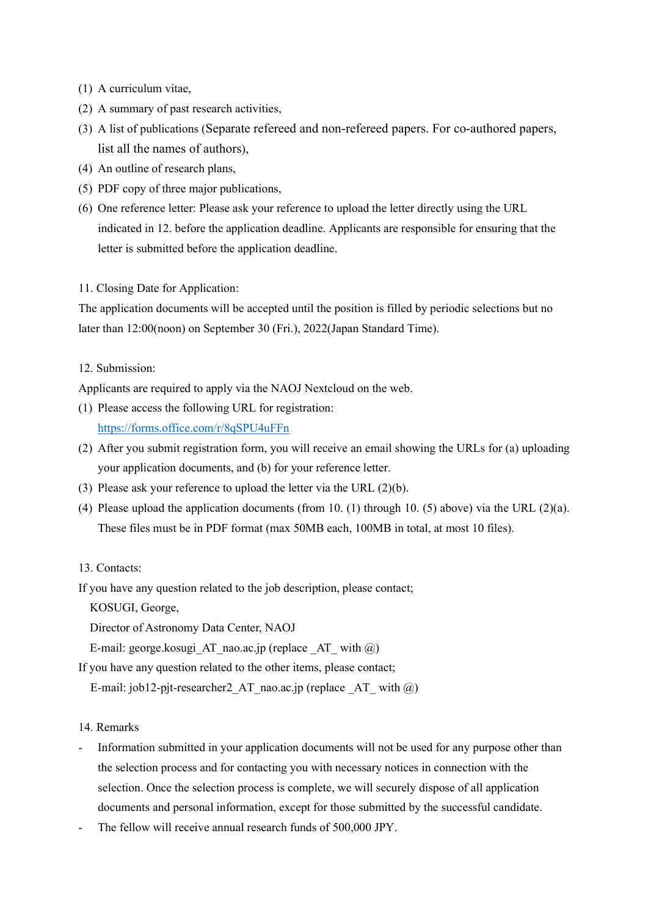- (1) A curriculum vitae,
- (2) A summary of past research activities,
- (3) A list of publications (Separate refereed and non-refereed papers. For co-authored papers, list all the names of authors),
- (4) An outline of research plans,
- (5) PDF copy of three major publications,
- (6) One reference letter: Please ask your reference to upload the letter directly using the URL indicated in 12. before the application deadline. Applicants are responsible for ensuring that the letter is submitted before the application deadline.

11. Closing Date for Application:

The application documents will be accepted until the position is filled by periodic selections but no later than 12:00(noon) on September 30 (Fri.), 2022(Japan Standard Time).

#### 12. Submission:

Applicants are required to apply via the NAOJ Nextcloud on the web.

- (1) Please access the following URL for registration: https://forms.office.com/r/8qSPU4uFFn
- (2) After you submit registration form, you will receive an email showing the URLs for (a) uploading your application documents, and (b) for your reference letter.
- (3) Please ask your reference to upload the letter via the URL (2)(b).
- (4) Please upload the application documents (from 10. (1) through 10. (5) above) via the URL (2)(a). These files must be in PDF format (max 50MB each, 100MB in total, at most 10 files).

## 13. Contacts:

If you have any question related to the job description, please contact;

KOSUGI, George,

Director of Astronomy Data Center, NAOJ

E-mail: george.kosugi AT\_nao.ac.jp (replace  $AT$  with  $@)$ 

If you have any question related to the other items, please contact;

E-mail: job12-pjt-researcher2 AT nao.ac.jp (replace AT with  $(\alpha)$ )

14. Remarks

- Information submitted in your application documents will not be used for any purpose other than the selection process and for contacting you with necessary notices in connection with the selection. Once the selection process is complete, we will securely dispose of all application documents and personal information, except for those submitted by the successful candidate.
- The fellow will receive annual research funds of 500,000 JPY.